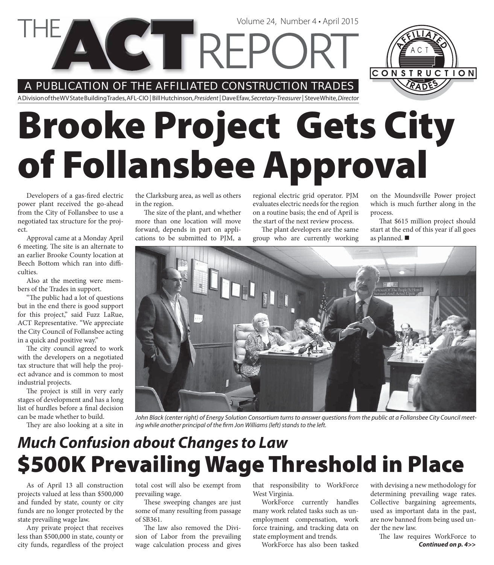#### A PUBLICATION OF THE AFFILIATED CONSTRUCTION TRADES

**CETREPC** 

A Division of the WV State Building Trades, AFL-CIO | Bill Hutchinson, President | Dave Efaw, Secretary-Treasurer | Steve White, Director

# **Brooke Project Gets City of Follansbee Approval**

Developers of a gas-fired electric power plant received the go-ahead from the City of Follansbee to use a negotiated tax structure for the project.

Approval came at a Monday April 6 meeting. The site is an alternate to an earlier Brooke County location at Beech Bottom which ran into difficulties.

Also at the meeting were members of the Trades in support.

"The public had a lot of questions" but in the end there is good support for this project," said Fuzz LaRue, ACT Representative. "We appreciate the City Council of Follansbee acting in a quick and positive way."

The city council agreed to work with the developers on a negotiated tax structure that will help the project advance and is common to most industrial projects.

The project is still in very early stages of development and has a long list of hurdles before a final decision can be made whether to build.

They are also looking at a site in

the Clarksburg area, as well as others in the region.

The size of the plant, and whether more than one location will move forward, depends in part on applications to be submitted to PJM, a

regional electric grid operator. PJM evaluates electric needs for the region on a routine basis; the end of April is the start of the next review process.

Volume 24, Number 4 • April 2015

The plant developers are the same group who are currently working

on the Moundsville Power project which is much further along in the process.

CONSTRUCTION

That \$615 million project should start at the end of this year if all goes as planned.



John Black (center right) of Energy Solution Consortium turns to answer questions from the public at a Follansbee City Council meeting while another principal of the firm Jon Williams (left) stands to the left.

#### **\$500K Prevailing Wage Threshold in Place** *Much Confusion about Changes to Law*

As of April 13 all construction projects valued at less than \$500,000 and funded by state, county or city funds are no longer protected by the state prevailing wage law.

Any private project that receives less than \$500,000 in state, county or city funds, regardless of the project total cost will also be exempt from prevailing wage.

These sweeping changes are just some of many resulting from passage of SB361.

The law also removed the Division of Labor from the prevailing wage calculation process and gives

that responsibility to WorkForce West Virginia.

WorkForce currently handles many work related tasks such as unemployment compensation, work force training, and tracking data on state employment and trends.

WorkForce has also been tasked

with devising a new methodology for determining prevailing wage rates. Collective bargaining agreements, used as important data in the past, are now banned from being used under the new law.

*Continued on p. 4>>* The law requires WorkForce to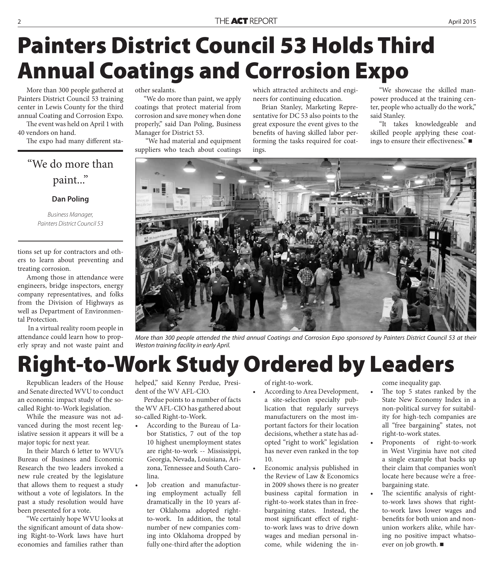# **Painters District Council 53 Holds Third Annual Coatings and Corrosion Expo**

More than 300 people gathered at Painters District Council 53 training center in Lewis County for the third annual Coating and Corrosion Expo.

The event was held on April 1 with 40 vendors on hand.

The expo had many different sta-

#### "We do more than paint..."

#### **Dan Poling**

Business Manager, Painters District Council 53

tions set up for contractors and others to learn about preventing and treating corrosion.

Among those in attendance were engineers, bridge inspectors, energy company representatives, and folks from the Division of Highways as well as Department of Environmental Protection.

 In a virtual reality room people in attendance could learn how to properly spray and not waste paint and other sealants.

"We do more than paint, we apply coatings that protect material from corrosion and save money when done properly," said Dan Poling, Business Manager for District 53.

 "We had material and equipment suppliers who teach about coatings

which attracted architects and engineers for continuing education.

Brian Stanley, Marketing Representative for DC 53 also points to the great exposure the event gives to the benefits of having skilled labor performing the tasks required for coatings.

"We showcase the skilled manpower produced at the training center, people who actually do the work," said Stanley.

"It takes knowledgeable and skilled people applying these coatings to ensure their effectiveness." $\blacksquare$ 



More than 300 people attended the third annual Coatings and Corrosion Expo sponsored by Painters District Council 53 at their Weston training facility in early April.

# **Right-to-Work Study Ordered by Leaders**

Republican leaders of the House and Senate directed WVU to conduct an economic impact study of the socalled Right-to-Work legislation.

While the measure was not advanced during the most recent legislative session it appears it will be a major topic for next year.

In their March 6 letter to WVU's Bureau of Business and Economic Research the two leaders invoked a new rule created by the legislature that allows them to request a study without a vote of legislators. In the past a study resolution would have been presented for a vote.

"We certainly hope WVU looks at the significant amount of data showing Right-to-Work laws have hurt economies and families rather than

helped," said Kenny Perdue, President of the WV AFL-CIO.

Perdue points to a number of facts the WV AFL-CIO has gathered about so-called Right-to-Work.

- According to the Bureau of Labor Statistics, 7 out of the top 10 highest unemployment states are right-to-work -- Mississippi, Georgia, Nevada, Louisiana, Arizona, Tennessee and South Carolina.
- Job creation and manufacturing employment actually fell dramatically in the 10 years after Oklahoma adopted rightto-work. In addition, the total number of new companies coming into Oklahoma dropped by fully one-third after the adoption

of right-to-work.

- According to Area Development, a site-selection specialty publication that regularly surveys manufacturers on the most important factors for their location decisions, whether a state has adopted "right to work" legislation has never even ranked in the top 10.
- Economic analysis published in the Review of Law & Economics in 2009 shows there is no greater business capital formation in right-to-work states than in freebargaining states. Instead, the most significant effect of rightto-work laws was to drive down wages and median personal income, while widening the in-

come inequality gap.

- The top 5 states ranked by the State New Economy Index in a non-political survey for suitability for high-tech companies are all "free bargaining" states, not right-to-work states.
- Proponents of right-to-work in West Virginia have not cited a single example that backs up their claim that companies won't locate here because we're a freebargaining state.
- The scientific analysis of rightto-work laws shows that rightto-work laws lower wages and benefits for both union and nonunion workers alike, while having no positive impact whatsoever on job growth.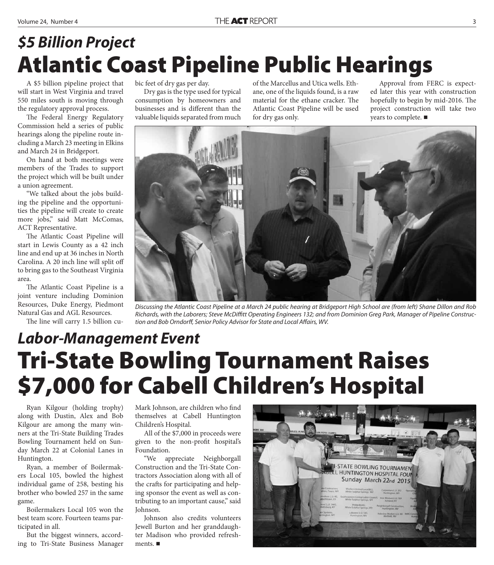### **Atlantic Coast Pipeline Public Hearings** *\$5 Billion Project*

A \$5 billion pipeline project that will start in West Virginia and travel 550 miles south is moving through the regulatory approval process.

The Federal Energy Regulatory Commission held a series of public hearings along the pipeline route including a March 23 meeting in Elkins and March 24 in Bridgeport.

On hand at both meetings were members of the Trades to support the project which will be built under a union agreement.

"We talked about the jobs building the pipeline and the opportunities the pipeline will create to create more jobs," said Matt McComas, ACT Representative.

The Atlantic Coast Pipeline will start in Lewis County as a 42 inch line and end up at 36 inches in North Carolina. A 20 inch line will split off to bring gas to the Southeast Virginia area.

The Atlantic Coast Pipeline is a joint venture including Dominion Resources, Duke Energy, Piedmont Natural Gas and AGL Resources.

The line will carry 1.5 billion cu-

bic feet of dry gas per day.

Dry gas is the type used for typical consumption by homeowners and businesses and is different than the valuable liquids separated from much

of the Marcellus and Utica wells. Ethane, one of the liquids found, is a raw material for the ethane cracker. The Atlantic Coast Pipeline will be used for dry gas only.

Approval from FERC is expected later this year with construction hopefully to begin by mid-2016. The project construction will take two years to complete. ■



Discussing the Atlantic Coast Pipeline at a March 24 public hearing at Bridgeport High School are (from left) Shane Dillon and Rob Richards, with the Laborers; Steve McDiffitt Operating Engineers 132; and from Dominion Greg Park, Manager of Pipeline Construction and Bob Orndorff, Senior Policy Advisor for State and Local Affairs, WV.

### **Tri-State Bowling Tournament Raises \$7,000 for Cabell Children's Hospital** *Labor-Management Event*

Ryan Kilgour (holding trophy) along with Dustin, Alex and Bob Kilgour are among the many winners at the Tri-State Building Trades Bowling Tournament held on Sunday March 22 at Colonial Lanes in Huntington.

Ryan, a member of Boilermakers Local 105, bowled the highest individual game of 258, besting his brother who bowled 257 in the same game.

Boilermakers Local 105 won the best team score. Fourteen teams participated in all.

But the biggest winners, according to Tri-State Business Manager Mark Johnson, are children who find themselves at Cabell Huntington Children's Hospital.

All of the \$7,000 in proceeds were given to the non-profit hospital's Foundation.

"We appreciate Neighborgall Construction and the Tri-State Contractors Association along with all of the crafts for participating and helping sponsor the event as well as contributing to an important cause," said Johnson.

Johnson also credits volunteers Jewell Burton and her granddaughter Madison who provided refreshments. ■